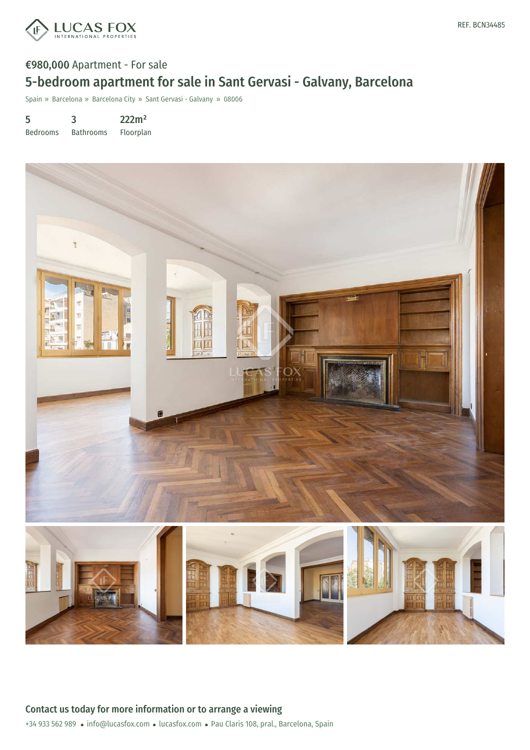

## €980,000 Apartment - For sale 5-bedroom apartment for sale in Sant Gervasi - Galvany, Barcelona

Spain » Barcelona » Barcelona City » Sant Gervasi - Galvany » 08006

5 Bedrooms 3 Bathrooms 222m² Floorplan

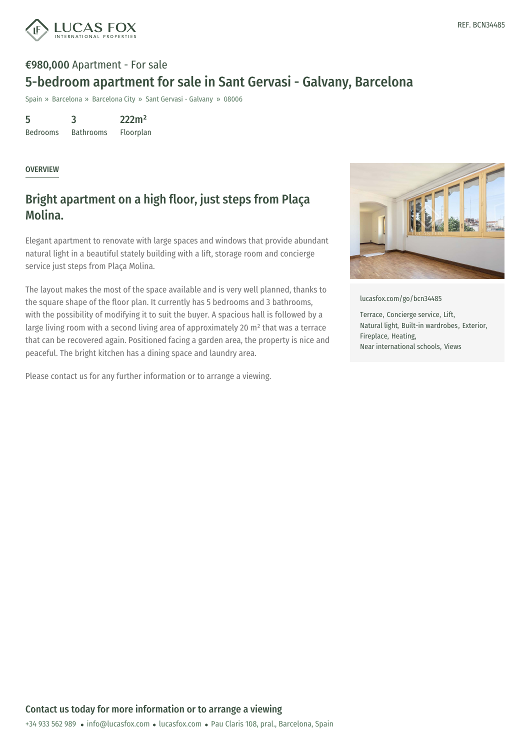

## €980,000 Apartment - For sale 5-bedroom apartment for sale in Sant Gervasi - Galvany, Barcelona

Spain » Barcelona » Barcelona City » Sant Gervasi - Galvany » 08006

5 Bedrooms 3 Bathrooms 222m² Floorplan

**OVERVIEW** 

## Bright apartment on a high floor, just steps from Plaça Molina.

Elegant apartment to renovate with large spaces and windows that provide abundant natural light in a beautiful stately building with a lift, storage room and concierge service just steps from Plaça Molina.

The layout makes the most of the space available and is very well planned, thanks to the square shape of the floor plan. It currently has 5 bedrooms and 3 bathrooms, with the possibility of modifying it to suit the buyer. A spacious hall is followed by a large living room with a second living area of approximately 20 m² that was a terrace that can be recovered again. Positioned facing a garden area, the property is nice and peaceful. The bright kitchen has a dining space and laundry area.

Please contact us for any further information or to arrange a viewing.



[lucasfox.com/go/bcn34485](https://www.lucasfox.com/go/bcn34485)

Terrace, Concierge service, Lift, Natural light, Built-in wardrobes, Exterior, Fireplace, Heating, Near international schools, Views